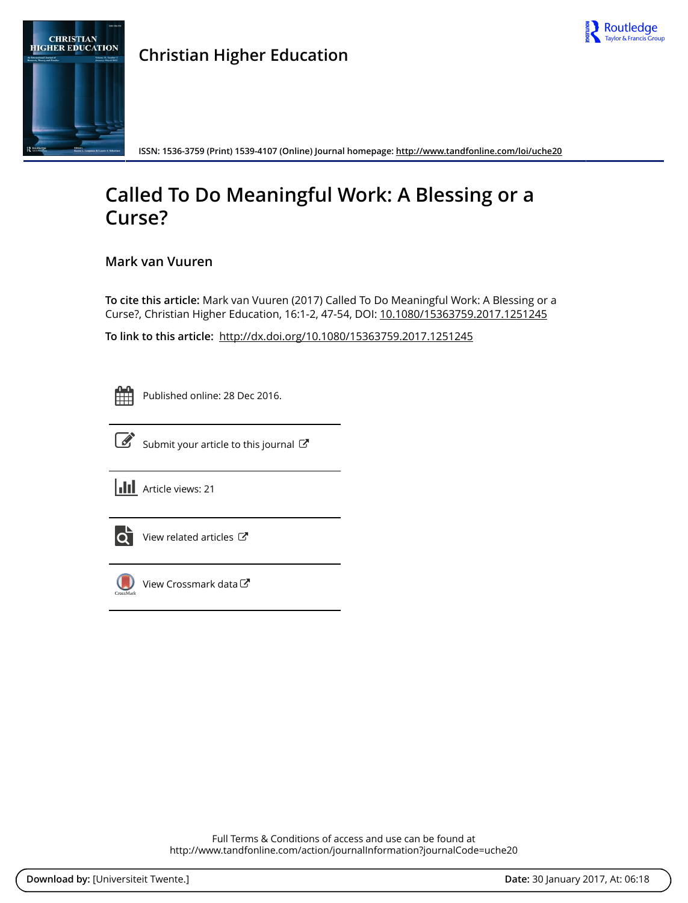



**ISSN: 1536-3759 (Print) 1539-4107 (Online) Journal homepage:<http://www.tandfonline.com/loi/uche20>**

# **Called To Do Meaningful Work: A Blessing or a Curse?**

**Mark van Vuuren**

**To cite this article:** Mark van Vuuren (2017) Called To Do Meaningful Work: A Blessing or a Curse?, Christian Higher Education, 16:1-2, 47-54, DOI: [10.1080/15363759.2017.1251245](http://www.tandfonline.com/action/showCitFormats?doi=10.1080/15363759.2017.1251245)

**To link to this article:** <http://dx.doi.org/10.1080/15363759.2017.1251245>

Published online: 28 Dec 2016.



 $\overline{\mathscr{G}}$  [Submit your article to this journal](http://www.tandfonline.com/action/authorSubmission?journalCode=uche20&show=instructions)  $\mathscr{G}$ 





 $\overrightarrow{Q}$  [View related articles](http://www.tandfonline.com/doi/mlt/10.1080/15363759.2017.1251245)  $\overrightarrow{C}$ 



[View Crossmark data](http://crossmark.crossref.org/dialog/?doi=10.1080/15363759.2017.1251245&domain=pdf&date_stamp=2016-12-28) $G$ 

Full Terms & Conditions of access and use can be found at <http://www.tandfonline.com/action/journalInformation?journalCode=uche20>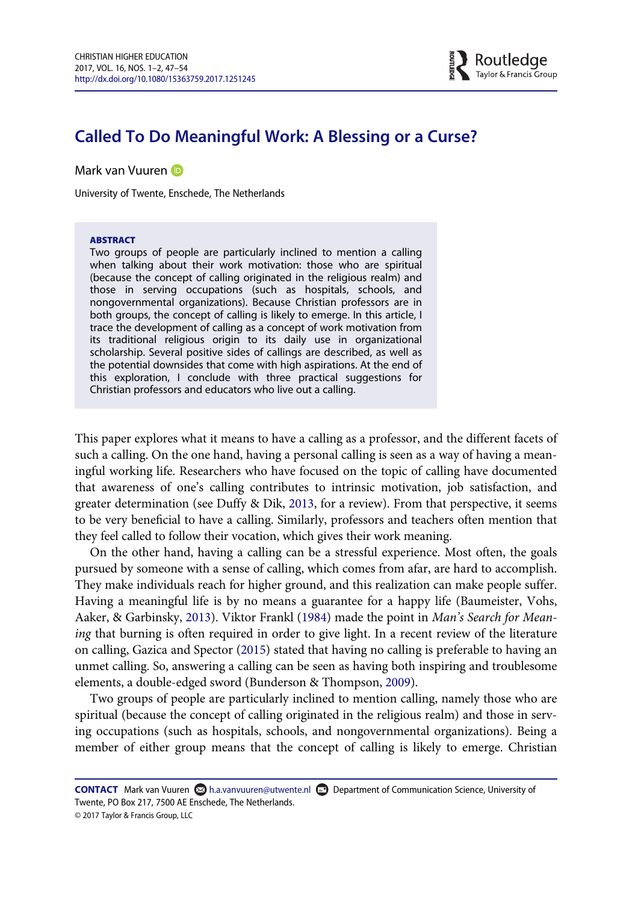## Called To Do Meaningful Work: A Blessing or a Curse?

Mark van Vuuren D

University of Twente, Enschede, The Netherlands

#### ABSTRACT

Two groups of people are particularly inclined to mention a calling when talking about their work motivation: those who are spiritual (because the concept of calling originated in the religious realm) and those in serving occupations (such as hospitals, schools, and nongovernmental organizations). Because Christian professors are in both groups, the concept of calling is likely to emerge. In this article, I trace the development of calling as a concept of work motivation from its traditional religious origin to its daily use in organizational scholarship. Several positive sides of callings are described, as well as the potential downsides that come with high aspirations. At the end of this exploration, I conclude with three practical suggestions for Christian professors and educators who live out a calling.

This paper explores what it means to have a calling as a professor, and the different facets of such a calling. On the one hand, having a personal calling is seen as a way of having a meaningful working life. Researchers who have focused on the topic of calling have documented that awareness of one's calling contributes to intrinsic motivation, job satisfaction, and greater determination (see Duffy & Dik, [2013](#page-7-0), for a review). From that perspective, it seems to be very beneficial to have a calling. Similarly, professors and teachers often mention that they feel called to follow their vocation, which gives their work meaning.

On the other hand, having a calling can be a stressful experience. Most often, the goals pursued by someone with a sense of calling, which comes from afar, are hard to accomplish. They make individuals reach for higher ground, and this realization can make people suffer. Having a meaningful life is by no means a guarantee for a happy life (Baumeister, Vohs, Aaker, & Garbinsky, [2013](#page-7-1)). Viktor Frankl [\(1984\)](#page-7-2) made the point in Man's Search for Meaning that burning is often required in order to give light. In a recent review of the literature on calling, Gazica and Spector [\(2015](#page-7-3)) stated that having no calling is preferable to having an unmet calling. So, answering a calling can be seen as having both inspiring and troublesome elements, a double-edged sword (Bunderson & Thompson, [2009](#page-7-4)).

Two groups of people are particularly inclined to mention calling, namely those who are spiritual (because the concept of calling originated in the religious realm) and those in serving occupations (such as hospitals, schools, and nongovernmental organizations). Being a member of either group means that the concept of calling is likely to emerge. Christian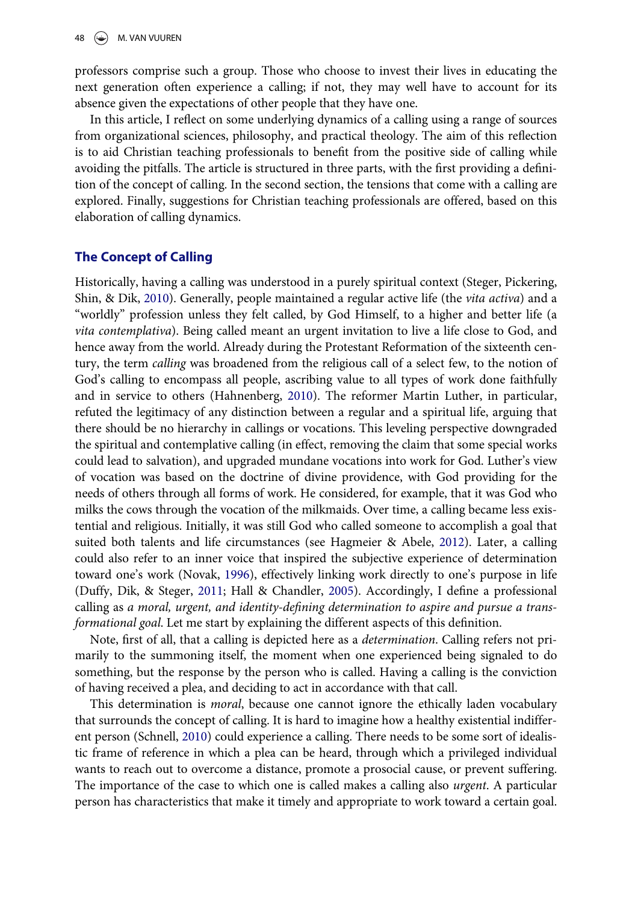professors comprise such a group. Those who choose to invest their lives in educating the next generation often experience a calling; if not, they may well have to account for its absence given the expectations of other people that they have one.

In this article, I reflect on some underlying dynamics of a calling using a range of sources from organizational sciences, philosophy, and practical theology. The aim of this reflection is to aid Christian teaching professionals to benefit from the positive side of calling while avoiding the pitfalls. The article is structured in three parts, with the first providing a definition of the concept of calling. In the second section, the tensions that come with a calling are explored. Finally, suggestions for Christian teaching professionals are offered, based on this elaboration of calling dynamics.

#### The Concept of Calling

Historically, having a calling was understood in a purely spiritual context (Steger, Pickering, Shin, & Dik, [2010\)](#page-8-0). Generally, people maintained a regular active life (the *vita activa*) and a "worldly" profession unless they felt called, by God Himself, to a higher and better life (a vita contemplativa). Being called meant an urgent invitation to live a life close to God, and hence away from the world. Already during the Protestant Reformation of the sixteenth century, the term calling was broadened from the religious call of a select few, to the notion of God's calling to encompass all people, ascribing value to all types of work done faithfully and in service to others (Hahnenberg, [2010](#page-7-5)). The reformer Martin Luther, in particular, refuted the legitimacy of any distinction between a regular and a spiritual life, arguing that there should be no hierarchy in callings or vocations. This leveling perspective downgraded the spiritual and contemplative calling (in effect, removing the claim that some special works could lead to salvation), and upgraded mundane vocations into work for God. Luther's view of vocation was based on the doctrine of divine providence, with God providing for the needs of others through all forms of work. He considered, for example, that it was God who milks the cows through the vocation of the milkmaids. Over time, a calling became less existential and religious. Initially, it was still God who called someone to accomplish a goal that suited both talents and life circumstances (see Hagmeier & Abele, [2012](#page-7-6)). Later, a calling could also refer to an inner voice that inspired the subjective experience of determination toward one's work (Novak, [1996\)](#page-7-7), effectively linking work directly to one's purpose in life (Duffy, Dik, & Steger, [2011;](#page-7-8) Hall & Chandler, [2005](#page-7-9)). Accordingly, I define a professional calling as a moral, urgent, and identity-defining determination to aspire and pursue a transformational goal. Let me start by explaining the different aspects of this definition.

Note, first of all, that a calling is depicted here as a determination. Calling refers not primarily to the summoning itself, the moment when one experienced being signaled to do something, but the response by the person who is called. Having a calling is the conviction of having received a plea, and deciding to act in accordance with that call.

This determination is *moral*, because one cannot ignore the ethically laden vocabulary that surrounds the concept of calling. It is hard to imagine how a healthy existential indifferent person (Schnell, [2010](#page-8-1)) could experience a calling. There needs to be some sort of idealistic frame of reference in which a plea can be heard, through which a privileged individual wants to reach out to overcome a distance, promote a prosocial cause, or prevent suffering. The importance of the case to which one is called makes a calling also *urgent*. A particular person has characteristics that make it timely and appropriate to work toward a certain goal.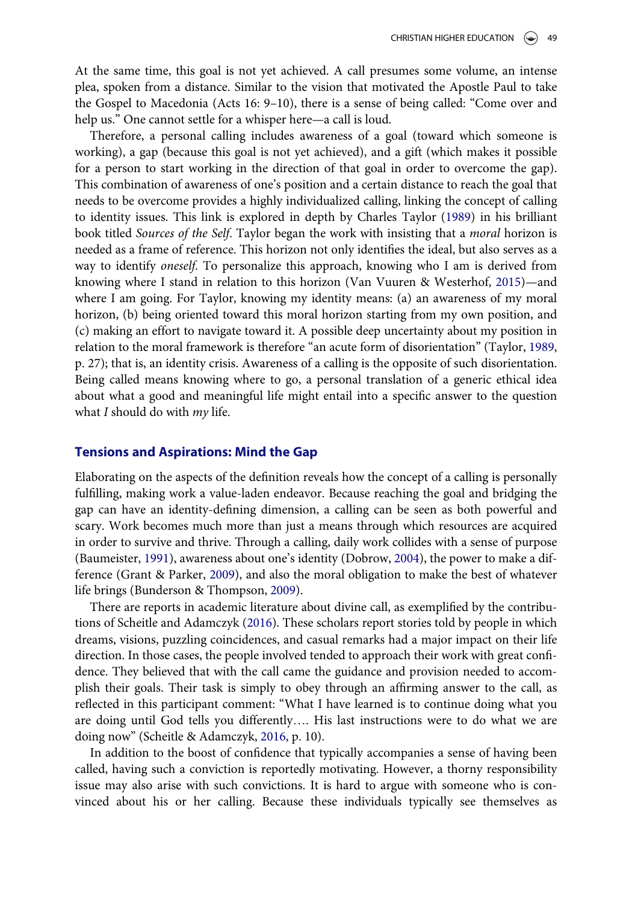At the same time, this goal is not yet achieved. A call presumes some volume, an intense plea, spoken from a distance. Similar to the vision that motivated the Apostle Paul to take the Gospel to Macedonia (Acts 16: 9–10), there is a sense of being called: "Come over and help us." One cannot settle for a whisper here—a call is loud.

Therefore, a personal calling includes awareness of a goal (toward which someone is working), a gap (because this goal is not yet achieved), and a gift (which makes it possible for a person to start working in the direction of that goal in order to overcome the gap). This combination of awareness of one's position and a certain distance to reach the goal that needs to be overcome provides a highly individualized calling, linking the concept of calling to identity issues. This link is explored in depth by Charles Taylor [\(1989](#page-8-2)) in his brilliant book titled Sources of the Self. Taylor began the work with insisting that a *moral* horizon is needed as a frame of reference. This horizon not only identifies the ideal, but also serves as a way to identify oneself. To personalize this approach, knowing who I am is derived from knowing where I stand in relation to this horizon (Van Vuuren & Westerhof, [2015](#page-8-3))—and where I am going. For Taylor, knowing my identity means: (a) an awareness of my moral horizon, (b) being oriented toward this moral horizon starting from my own position, and (c) making an effort to navigate toward it. A possible deep uncertainty about my position in relation to the moral framework is therefore "an acute form of disorientation" (Taylor, [1989,](#page-8-2) p. 27); that is, an identity crisis. Awareness of a calling is the opposite of such disorientation. Being called means knowing where to go, a personal translation of a generic ethical idea about what a good and meaningful life might entail into a specific answer to the question what  $I$  should do with  $my$  life.

#### Tensions and Aspirations: Mind the Gap

Elaborating on the aspects of the definition reveals how the concept of a calling is personally fulfilling, making work a value-laden endeavor. Because reaching the goal and bridging the gap can have an identity-defining dimension, a calling can be seen as both powerful and scary. Work becomes much more than just a means through which resources are acquired in order to survive and thrive. Through a calling, daily work collides with a sense of purpose (Baumeister, [1991\)](#page-7-10), awareness about one's identity (Dobrow, [2004](#page-7-11)), the power to make a difference (Grant & Parker, [2009](#page-7-12)), and also the moral obligation to make the best of whatever life brings (Bunderson & Thompson, [2009\)](#page-7-4).

There are reports in academic literature about divine call, as exemplified by the contributions of Scheitle and Adamczyk ([2016\)](#page-7-13). These scholars report stories told by people in which dreams, visions, puzzling coincidences, and casual remarks had a major impact on their life direction. In those cases, the people involved tended to approach their work with great confidence. They believed that with the call came the guidance and provision needed to accomplish their goals. Their task is simply to obey through an affirming answer to the call, as reflected in this participant comment: "What I have learned is to continue doing what you are doing until God tells you differently…. His last instructions were to do what we are doing now" (Scheitle & Adamczyk, [2016,](#page-7-13) p. 10).

In addition to the boost of confidence that typically accompanies a sense of having been called, having such a conviction is reportedly motivating. However, a thorny responsibility issue may also arise with such convictions. It is hard to argue with someone who is convinced about his or her calling. Because these individuals typically see themselves as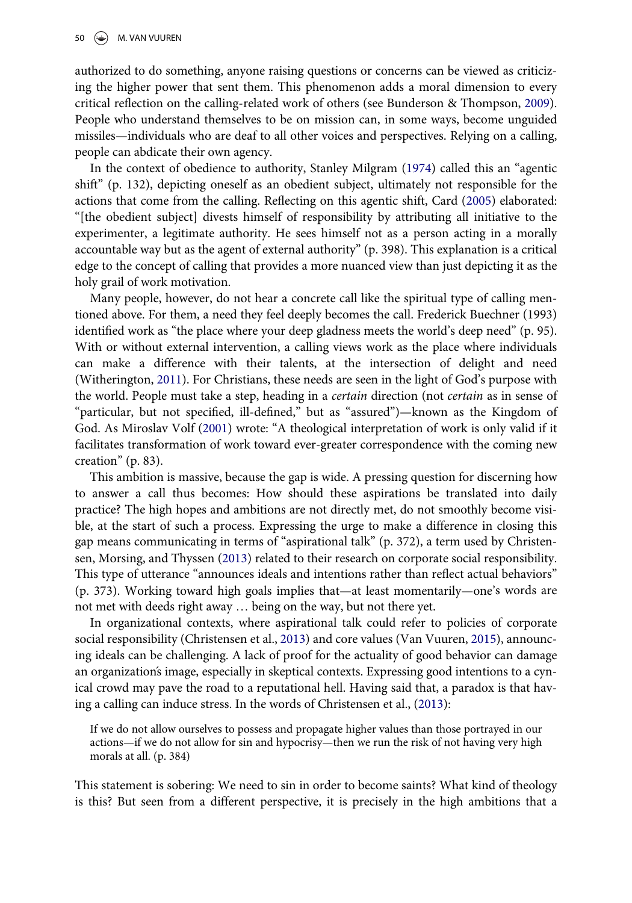authorized to do something, anyone raising questions or concerns can be viewed as criticizing the higher power that sent them. This phenomenon adds a moral dimension to every critical reflection on the calling-related work of others (see Bunderson & Thompson, [2009](#page-7-4)). People who understand themselves to be on mission can, in some ways, become unguided missiles—individuals who are deaf to all other voices and perspectives. Relying on a calling, people can abdicate their own agency.

In the context of obedience to authority, Stanley Milgram ([1974](#page-7-14)) called this an "agentic shift" (p. 132), depicting oneself as an obedient subject, ultimately not responsible for the actions that come from the calling. Reflecting on this agentic shift, Card ([2005\)](#page-7-15) elaborated: "[the obedient subject] divests himself of responsibility by attributing all initiative to the experimenter, a legitimate authority. He sees himself not as a person acting in a morally accountable way but as the agent of external authority" (p. 398). This explanation is a critical edge to the concept of calling that provides a more nuanced view than just depicting it as the holy grail of work motivation.

Many people, however, do not hear a concrete call like the spiritual type of calling mentioned above. For them, a need they feel deeply becomes the call. Frederick Buechner (1993) identified work as "the place where your deep gladness meets the world's deep need" (p. 95). With or without external intervention, a calling views work as the place where individuals can make a difference with their talents, at the intersection of delight and need (Witherington, [2011](#page-8-4)). For Christians, these needs are seen in the light of God's purpose with the world. People must take a step, heading in a *certain* direction (not *certain* as in sense of "particular, but not specified, ill-defined," but as "assured")—known as the Kingdom of God. As Miroslav Volf ([2001\)](#page-8-5) wrote: "A theological interpretation of work is only valid if it facilitates transformation of work toward ever-greater correspondence with the coming new creation" (p. 83).

This ambition is massive, because the gap is wide. A pressing question for discerning how to answer a call thus becomes: How should these aspirations be translated into daily practice? The high hopes and ambitions are not directly met, do not smoothly become visible, at the start of such a process. Expressing the urge to make a difference in closing this gap means communicating in terms of "aspirational talk" (p. 372), a term used by Christensen, Morsing, and Thyssen [\(2013](#page-7-16)) related to their research on corporate social responsibility. This type of utterance "announces ideals and intentions rather than reflect actual behaviors" (p. 373). Working toward high goals implies that—at least momentarily—one's words are not met with deeds right away … being on the way, but not there yet.

In organizational contexts, where aspirational talk could refer to policies of corporate social responsibility (Christensen et al., [2013\)](#page-7-16) and core values (Van Vuuren, [2015\)](#page-8-3), announcing ideals can be challenging. A lack of proof for the actuality of good behavior can damage an organization's image, especially in skeptical contexts. Expressing good intentions to a cynical crowd may pave the road to a reputational hell. Having said that, a paradox is that having a calling can induce stress. In the words of Christensen et al., ([2013\)](#page-7-16):

If we do not allow ourselves to possess and propagate higher values than those portrayed in our actions—if we do not allow for sin and hypocrisy—then we run the risk of not having very high morals at all. (p. 384)

This statement is sobering: We need to sin in order to become saints? What kind of theology is this? But seen from a different perspective, it is precisely in the high ambitions that a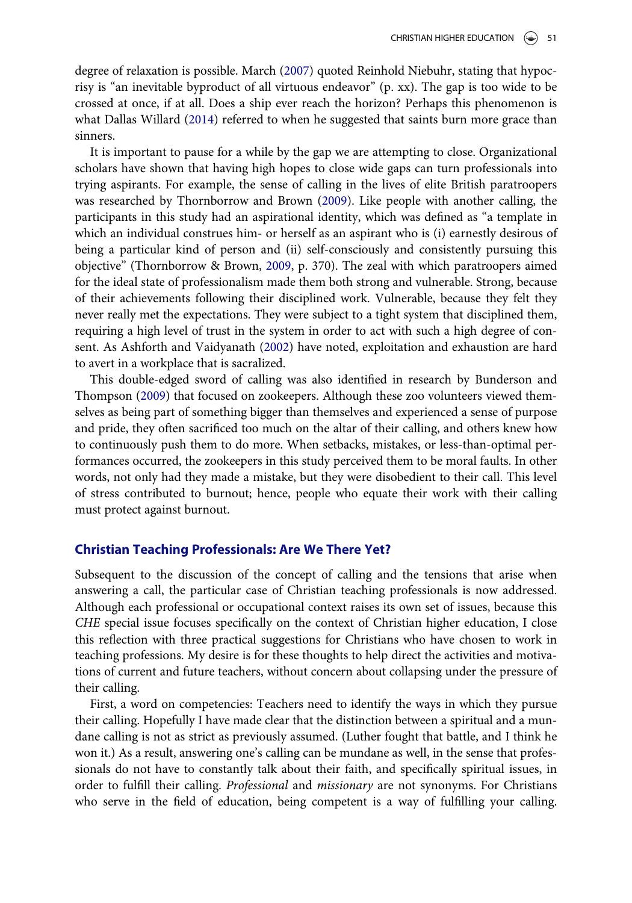degree of relaxation is possible. March ([2007\)](#page-7-17) quoted Reinhold Niebuhr, stating that hypocrisy is "an inevitable byproduct of all virtuous endeavor" (p. xx). The gap is too wide to be crossed at once, if at all. Does a ship ever reach the horizon? Perhaps this phenomenon is what Dallas Willard [\(2014\)](#page-8-6) referred to when he suggested that saints burn more grace than sinners.

It is important to pause for a while by the gap we are attempting to close. Organizational scholars have shown that having high hopes to close wide gaps can turn professionals into trying aspirants. For example, the sense of calling in the lives of elite British paratroopers was researched by Thornborrow and Brown ([2009\)](#page-8-7). Like people with another calling, the participants in this study had an aspirational identity, which was defined as "a template in which an individual construes him- or herself as an aspirant who is (i) earnestly desirous of being a particular kind of person and (ii) self-consciously and consistently pursuing this objective" (Thornborrow & Brown, [2009](#page-8-7), p. 370). The zeal with which paratroopers aimed for the ideal state of professionalism made them both strong and vulnerable. Strong, because of their achievements following their disciplined work. Vulnerable, because they felt they never really met the expectations. They were subject to a tight system that disciplined them, requiring a high level of trust in the system in order to act with such a high degree of consent. As Ashforth and Vaidyanath ([2002\)](#page-7-18) have noted, exploitation and exhaustion are hard to avert in a workplace that is sacralized.

This double-edged sword of calling was also identified in research by Bunderson and Thompson [\(2009](#page-7-4)) that focused on zookeepers. Although these zoo volunteers viewed themselves as being part of something bigger than themselves and experienced a sense of purpose and pride, they often sacrificed too much on the altar of their calling, and others knew how to continuously push them to do more. When setbacks, mistakes, or less-than-optimal performances occurred, the zookeepers in this study perceived them to be moral faults. In other words, not only had they made a mistake, but they were disobedient to their call. This level of stress contributed to burnout; hence, people who equate their work with their calling must protect against burnout.

#### Christian Teaching Professionals: Are We There Yet?

Subsequent to the discussion of the concept of calling and the tensions that arise when answering a call, the particular case of Christian teaching professionals is now addressed. Although each professional or occupational context raises its own set of issues, because this CHE special issue focuses specifically on the context of Christian higher education, I close this reflection with three practical suggestions for Christians who have chosen to work in teaching professions. My desire is for these thoughts to help direct the activities and motivations of current and future teachers, without concern about collapsing under the pressure of their calling.

First, a word on competencies: Teachers need to identify the ways in which they pursue their calling. Hopefully I have made clear that the distinction between a spiritual and a mundane calling is not as strict as previously assumed. (Luther fought that battle, and I think he won it.) As a result, answering one's calling can be mundane as well, in the sense that professionals do not have to constantly talk about their faith, and specifically spiritual issues, in order to fulfill their calling. Professional and missionary are not synonyms. For Christians who serve in the field of education, being competent is a way of fulfilling your calling.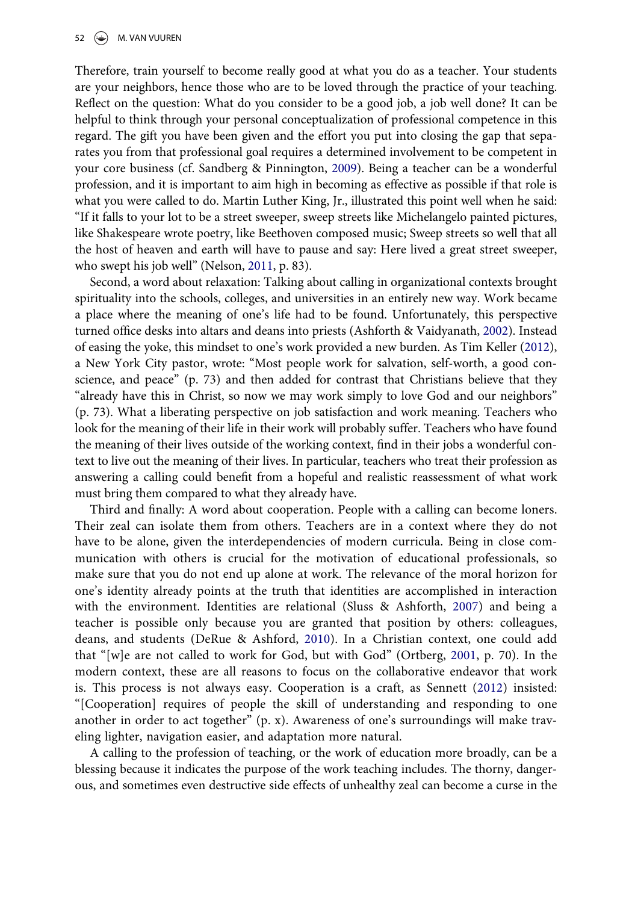52 M. VAN VUUREN

Therefore, train yourself to become really good at what you do as a teacher. Your students are your neighbors, hence those who are to be loved through the practice of your teaching. Reflect on the question: What do you consider to be a good job, a job well done? It can be helpful to think through your personal conceptualization of professional competence in this regard. The gift you have been given and the effort you put into closing the gap that separates you from that professional goal requires a determined involvement to be competent in your core business (cf. Sandberg & Pinnington, [2009\)](#page-7-19). Being a teacher can be a wonderful profession, and it is important to aim high in becoming as effective as possible if that role is what you were called to do. Martin Luther King, Jr., illustrated this point well when he said: "If it falls to your lot to be a street sweeper, sweep streets like Michelangelo painted pictures, like Shakespeare wrote poetry, like Beethoven composed music; Sweep streets so well that all the host of heaven and earth will have to pause and say: Here lived a great street sweeper, who swept his job well" (Nelson, [2011,](#page-7-20) p. 83).

Second, a word about relaxation: Talking about calling in organizational contexts brought spirituality into the schools, colleges, and universities in an entirely new way. Work became a place where the meaning of one's life had to be found. Unfortunately, this perspective turned office desks into altars and deans into priests (Ashforth & Vaidyanath, [2002](#page-7-18)). Instead of easing the yoke, this mindset to one's work provided a new burden. As Tim Keller [\(2012](#page-7-21)), a New York City pastor, wrote: "Most people work for salvation, self-worth, a good conscience, and peace" (p. 73) and then added for contrast that Christians believe that they "already have this in Christ, so now we may work simply to love God and our neighbors" (p. 73). What a liberating perspective on job satisfaction and work meaning. Teachers who look for the meaning of their life in their work will probably suffer. Teachers who have found the meaning of their lives outside of the working context, find in their jobs a wonderful context to live out the meaning of their lives. In particular, teachers who treat their profession as answering a calling could benefit from a hopeful and realistic reassessment of what work must bring them compared to what they already have.

Third and finally: A word about cooperation. People with a calling can become loners. Their zeal can isolate them from others. Teachers are in a context where they do not have to be alone, given the interdependencies of modern curricula. Being in close communication with others is crucial for the motivation of educational professionals, so make sure that you do not end up alone at work. The relevance of the moral horizon for one's identity already points at the truth that identities are accomplished in interaction with the environment. Identities are relational (Sluss & Ashforth, [2007](#page-8-8)) and being a teacher is possible only because you are granted that position by others: colleagues, deans, and students (DeRue & Ashford, [2010](#page-7-22)). In a Christian context, one could add that "[w]e are not called to work for God, but with God" (Ortberg, [2001,](#page-7-23) p. 70). In the modern context, these are all reasons to focus on the collaborative endeavor that work is. This process is not always easy. Cooperation is a craft, as Sennett ([2012](#page-8-9)) insisted: "[Cooperation] requires of people the skill of understanding and responding to one another in order to act together"  $(p, x)$ . Awareness of one's surroundings will make traveling lighter, navigation easier, and adaptation more natural.

A calling to the profession of teaching, or the work of education more broadly, can be a blessing because it indicates the purpose of the work teaching includes. The thorny, dangerous, and sometimes even destructive side effects of unhealthy zeal can become a curse in the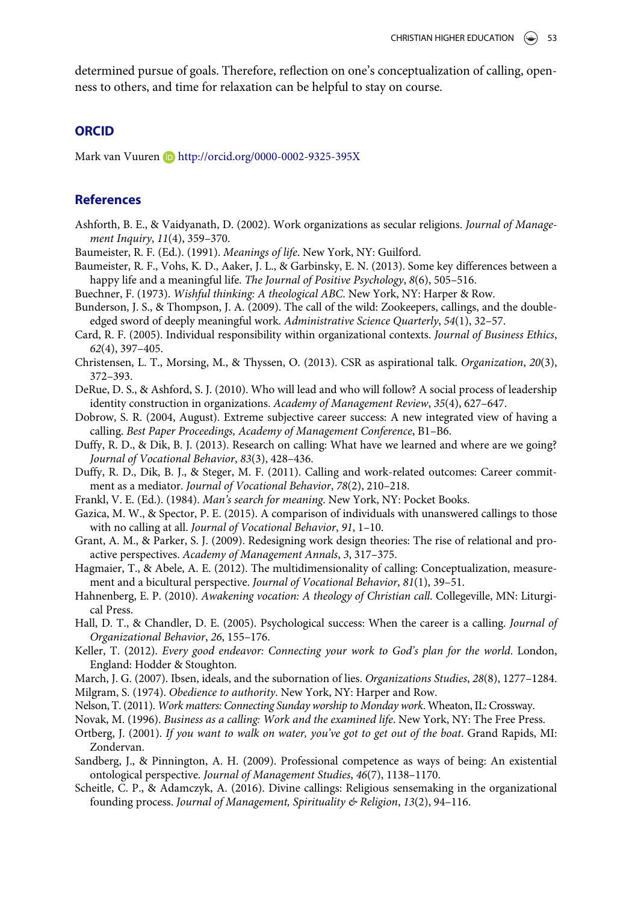determined pursue of goals. Therefore, reflection on one's conceptualization of calling, openness to others, and time for relaxation can be helpful to stay on course.

### **ORCID**

Mark van Vuuren b <http://orcid.org/0000-0002-9325-395X>

#### **References**

- <span id="page-7-18"></span>Ashforth, B. E., & Vaidyanath, D. (2002). Work organizations as secular religions. Journal of Management Inquiry, 11(4), 359–370.
- <span id="page-7-10"></span>Baumeister, R. F. (Ed.). (1991). Meanings of life. New York, NY: Guilford.
- <span id="page-7-1"></span>Baumeister, R. F., Vohs, K. D., Aaker, J. L., & Garbinsky, E. N. (2013). Some key differences between a happy life and a meaningful life. The Journal of Positive Psychology, 8(6), 505–516.
- Buechner, F. (1973). Wishful thinking: A theological ABC. New York, NY: Harper & Row.
- <span id="page-7-4"></span>Bunderson, J. S., & Thompson, J. A. (2009). The call of the wild: Zookeepers, callings, and the doubleedged sword of deeply meaningful work. Administrative Science Quarterly, 54(1), 32–57.
- <span id="page-7-15"></span>Card, R. F. (2005). Individual responsibility within organizational contexts. Journal of Business Ethics, 62(4), 397–405.
- <span id="page-7-16"></span>Christensen, L. T., Morsing, M., & Thyssen, O. (2013). CSR as aspirational talk. Organization, 20(3), 372–393.
- <span id="page-7-22"></span>DeRue, D. S., & Ashford, S. J. (2010). Who will lead and who will follow? A social process of leadership identity construction in organizations. Academy of Management Review, 35(4), 627–647.
- <span id="page-7-11"></span>Dobrow, S. R. (2004, August). Extreme subjective career success: A new integrated view of having a calling. Best Paper Proceedings, Academy of Management Conference, B1–B6.
- <span id="page-7-0"></span>Duffy, R. D., & Dik, B. J. (2013). Research on calling: What have we learned and where are we going? Journal of Vocational Behavior, 83(3), 428–436.
- <span id="page-7-8"></span>Duffy, R. D., Dik, B. J., & Steger, M. F. (2011). Calling and work-related outcomes: Career commitment as a mediator. Journal of Vocational Behavior, 78(2), 210–218.
- <span id="page-7-2"></span>Frankl, V. E. (Ed.). (1984). Man's search for meaning. New York, NY: Pocket Books.
- <span id="page-7-3"></span>Gazica, M. W., & Spector, P. E. (2015). A comparison of individuals with unanswered callings to those with no calling at all. Journal of Vocational Behavior, 91, 1–10.
- <span id="page-7-12"></span>Grant, A. M., & Parker, S. J. (2009). Redesigning work design theories: The rise of relational and proactive perspectives. Academy of Management Annals, 3, 317–375.
- <span id="page-7-6"></span>Hagmaier, T., & Abele, A. E. (2012). The multidimensionality of calling: Conceptualization, measurement and a bicultural perspective. Journal of Vocational Behavior, 81(1), 39-51.
- <span id="page-7-5"></span>Hahnenberg, E. P. (2010). Awakening vocation: A theology of Christian call. Collegeville, MN: Liturgical Press.
- <span id="page-7-9"></span>Hall, D. T., & Chandler, D. E. (2005). Psychological success: When the career is a calling. Journal of Organizational Behavior, 26, 155–176.
- <span id="page-7-21"></span>Keller, T. (2012). Every good endeavor: Connecting your work to God's plan for the world. London, England: Hodder & Stoughton.
- <span id="page-7-17"></span>March, J. G. (2007). Ibsen, ideals, and the subornation of lies. Organizations Studies, 28(8), 1277-1284.
- <span id="page-7-14"></span>Milgram, S. (1974). Obedience to authority. New York, NY: Harper and Row.
- <span id="page-7-20"></span>Nelson, T. (2011). Work matters: Connecting Sunday worship to Monday work. Wheaton, IL: Crossway.
- <span id="page-7-7"></span>Novak, M. (1996). Business as a calling: Work and the examined life. New York, NY: The Free Press.
- <span id="page-7-23"></span>Ortberg, J. (2001). If you want to walk on water, you've got to get out of the boat. Grand Rapids, MI: Zondervan.
- <span id="page-7-19"></span>Sandberg, J., & Pinnington, A. H. (2009). Professional competence as ways of being: An existential ontological perspective. Journal of Management Studies, 46(7), 1138–1170.
- <span id="page-7-13"></span>Scheitle, C. P., & Adamczyk, A. (2016). Divine callings: Religious sensemaking in the organizational founding process. Journal of Management, Spirituality & Religion, 13(2), 94-116.